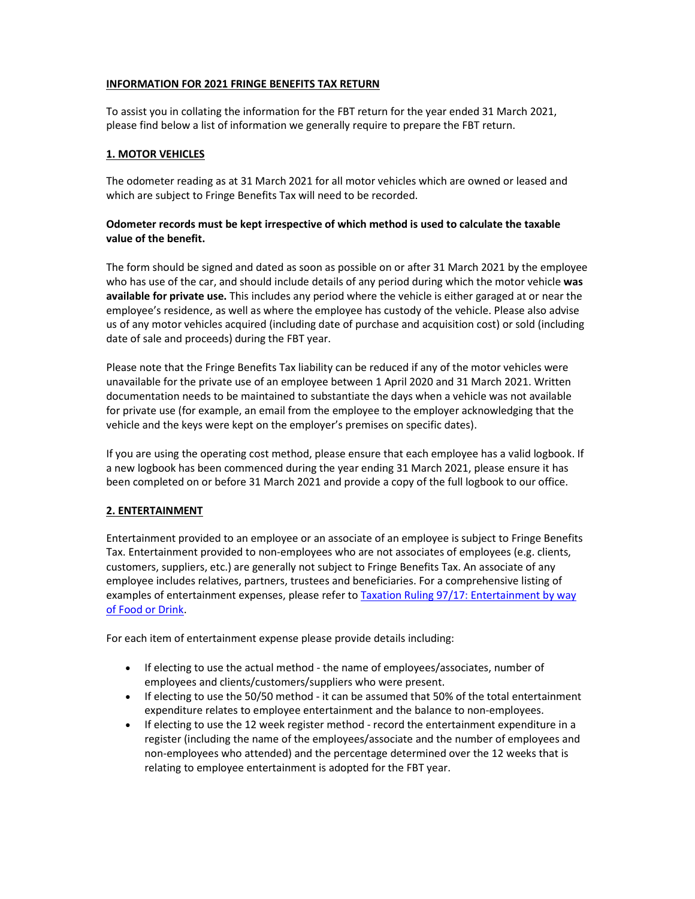### **INFORMATION FOR 2021 FRINGE BENEFITS TAX RETURN**

To assist you in collating the information for the FBT return for the year ended 31 March 2021, please find below a list of information we generally require to prepare the FBT return.

## **1. MOTOR VEHICLES**

The odometer reading as at 31 March 2021 for all motor vehicles which are owned or leased and which are subject to Fringe Benefits Tax will need to be recorded.

## **Odometer records must be kept irrespective of which method is used to calculate the taxable value of the benefit.**

The form should be signed and dated as soon as possible on or after 31 March 2021 by the employee who has use of the car, and should include details of any period during which the motor vehicle **was available for private use.** This includes any period where the vehicle is either garaged at or near the employee's residence, as well as where the employee has custody of the vehicle. Please also advise us of any motor vehicles acquired (including date of purchase and acquisition cost) or sold (including date of sale and proceeds) during the FBT year.

Please note that the Fringe Benefits Tax liability can be reduced if any of the motor vehicles were unavailable for the private use of an employee between 1 April 2020 and 31 March 2021. Written documentation needs to be maintained to substantiate the days when a vehicle was not available for private use (for example, an email from the employee to the employer acknowledging that the vehicle and the keys were kept on the employer's premises on specific dates).

If you are using the operating cost method, please ensure that each employee has a valid logbook. If a new logbook has been commenced during the year ending 31 March 2021, please ensure it has been completed on or before 31 March 2021 and provide a copy of the full logbook to our office.

# **2. ENTERTAINMENT**

Entertainment provided to an employee or an associate of an employee is subject to Fringe Benefits Tax. Entertainment provided to non-employees who are not associates of employees (e.g. clients, customers, suppliers, etc.) are generally not subject to Fringe Benefits Tax. An associate of any employee includes relatives, partners, trustees and beneficiaries. For a comprehensive listing of examples of entertainment expenses, please refer to Taxation Ruling 97/17: Entertainment by way of Food or Drink.

For each item of entertainment expense please provide details including:

- If electing to use the actual method the name of employees/associates, number of employees and clients/customers/suppliers who were present.
- If electing to use the 50/50 method it can be assumed that 50% of the total entertainment expenditure relates to employee entertainment and the balance to non-employees.
- If electing to use the 12 week register method record the entertainment expenditure in a register (including the name of the employees/associate and the number of employees and non-employees who attended) and the percentage determined over the 12 weeks that is relating to employee entertainment is adopted for the FBT year.